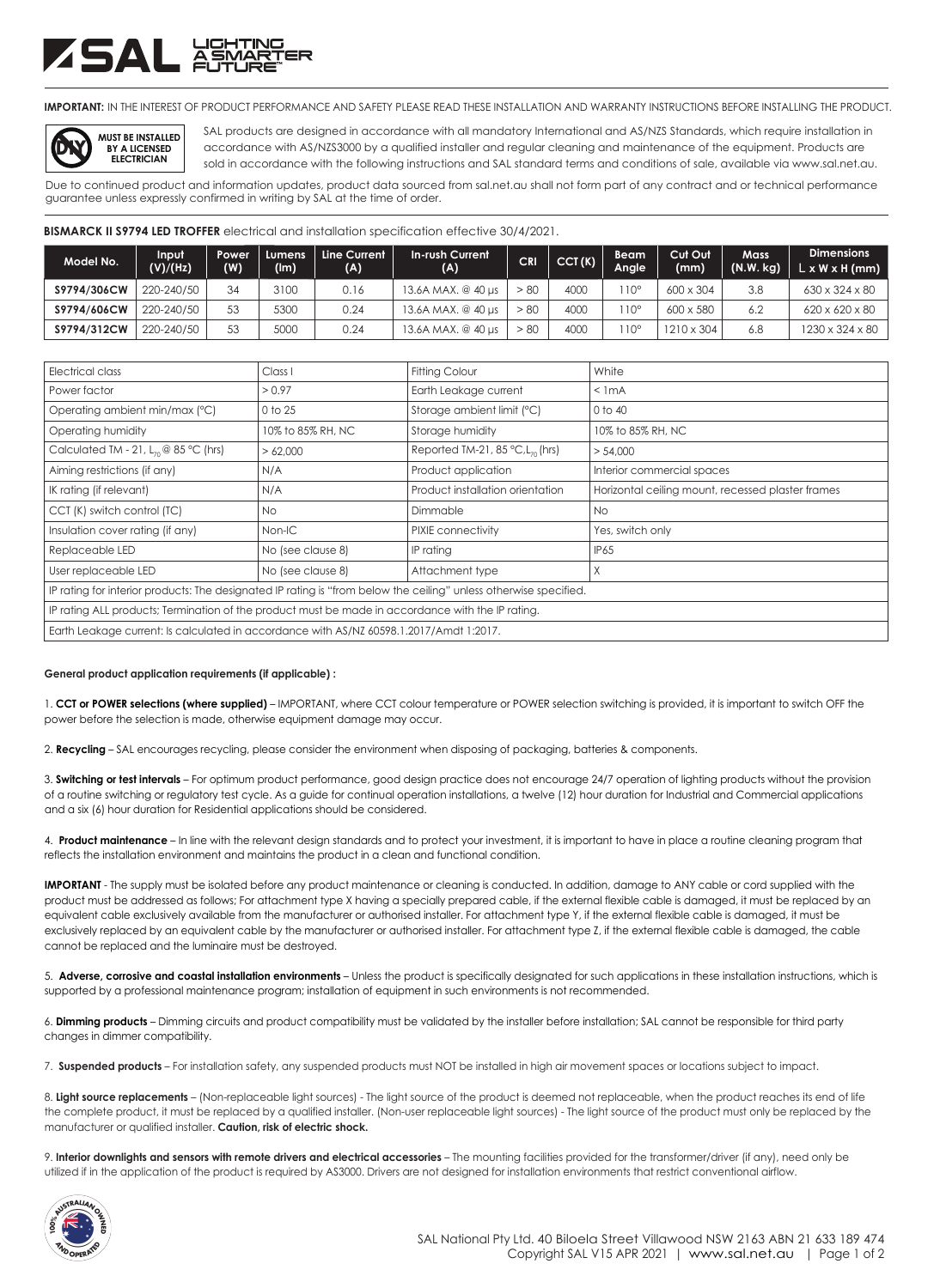## ZSAL XX

**MUST BE INSTALLED BY A LICENSED ELECTRICIAN**

**DIY**

**IMPORTANT:** IN THE INTEREST OF PRODUCT PERFORMANCE AND SAFETY PLEASE READ THESE INSTALLATION AND WARRANTY INSTRUCTIONS BEFORE INSTALLING THE PRODUCT.

SAL products are designed in accordance with all mandatory International and AS/NZS Standards, which require installation in accordance with AS/NZS3000 by a qualified installer and regular cleaning and maintenance of the equipment. Products are sold in accordance with the following instructions and SAL standard terms and conditions of sale, available via www.sal.net.au.

Due to continued product and information updates, product data sourced from sal.net.au shall not form part of any contract and or technical performance guarantee unless expressly confirmed in writing by SAL at the time of order.

**BISMARCK II S9794 LED TROFFER** electrical and installation specification effective 30/4/2021.

| Model No.    | Input<br>(V)/(Hz) | Power<br>(W) | Lumens<br>(lm) | Line Current<br>(A) | In-rush Current<br>(A) | <b>CRI</b> | CCT(K) | Beam'<br>Angle | Cut Out<br>(mm)   | <b>Mass</b><br>(N.W. kg) | <b>Dimensions</b><br>$L \times W \times H$ (mm) |
|--------------|-------------------|--------------|----------------|---------------------|------------------------|------------|--------|----------------|-------------------|--------------------------|-------------------------------------------------|
| S9794/306CW  | 220-240/50        | 34           | 3100           | 0.16                | 13.6A MAX, @ 40 us     | > 80       | 4000   | $10^{\circ}$   | 600 x 304         | 3.8                      | 630 x 324 x 80                                  |
| S9794/606CW  | 220-240/50        | 53           | 5300           | 0.24                | 13.6A MAX, @ 40 µs     | > 80       | 4000   | $10^{\circ}$   | 600 x 580         |                          | 620 x 620 x 80                                  |
| \$9794/312CW | 220-240/50        | 53           | 5000           | 0.24                | 13.6A MAX. @ 40 µs     | > 80       | 4000   | $10^{\circ}$   | $1210 \times 304$ | 6.8                      | $1230 \times 324 \times 80$                     |

| Electrical class                                                                                                  | Class I           | <b>Fitting Colour</b>                           | White                                             |  |  |  |  |
|-------------------------------------------------------------------------------------------------------------------|-------------------|-------------------------------------------------|---------------------------------------------------|--|--|--|--|
| Power factor                                                                                                      | > 0.97            | Earth Leakage current                           | $<$ 1 mA                                          |  |  |  |  |
| Operating ambient min/max (°C)                                                                                    | 0 to 25           | Storage ambient limit (°C)                      | 0 to 40                                           |  |  |  |  |
| Operating humidity                                                                                                | 10% to 85% RH, NC | Storage humidity                                | 10% to 85% RH, NC                                 |  |  |  |  |
| Calculated TM - 21, $L_n \otimes 85$ °C (hrs)                                                                     | > 62,000          | Reported TM-21, 85 $°C$ , L <sub>70</sub> (hrs) | > 54,000                                          |  |  |  |  |
| Aiming restrictions (if any)                                                                                      | N/A               | Product application                             | Interior commercial spaces                        |  |  |  |  |
| IK rating (if relevant)                                                                                           | N/A               | Product installation orientation                | Horizontal ceiling mount, recessed plaster frames |  |  |  |  |
| CCT (K) switch control (TC)                                                                                       | No.               | Dimmable                                        | No.                                               |  |  |  |  |
| Insulation cover rating (if any)                                                                                  | Non-IC            | PIXIE connectivity                              | Yes, switch only                                  |  |  |  |  |
| Replaceable LED                                                                                                   | No (see clause 8) | IP rating                                       | IP65                                              |  |  |  |  |
| User replaceable LED                                                                                              | No (see clause 8) | Attachment type                                 | X                                                 |  |  |  |  |
| IP rating for interior products: The designated IP rating is "from below the ceiling" unless otherwise specified. |                   |                                                 |                                                   |  |  |  |  |
| IP rating ALL products; Termination of the product must be made in accordance with the IP rating.                 |                   |                                                 |                                                   |  |  |  |  |
| Earth Leakage current: Is calculated in accordance with AS/NZ 60598.1.2017/Amdt 1:2017.                           |                   |                                                 |                                                   |  |  |  |  |

## **General product application requirements (if applicable) :**

1. **CCT or POWER selections (where supplied)** – IMPORTANT, where CCT colour temperature or POWER selection switching is provided, it is important to switch OFF the power before the selection is made, otherwise equipment damage may occur.

2. **Recycling** – SAL encourages recycling, please consider the environment when disposing of packaging, batteries & components.

3. **Switching or test intervals** – For optimum product performance, good design practice does not encourage 24/7 operation of lighting products without the provision of a routine switching or regulatory test cycle. As a guide for continual operation installations, a twelve (12) hour duration for Industrial and Commercial applications and a six (6) hour duration for Residential applications should be considered.

4. **Product maintenance** – In line with the relevant design standards and to protect your investment, it is important to have in place a routine cleaning program that reflects the installation environment and maintains the product in a clean and functional condition.

**IMPORTANT** - The supply must be isolated before any product maintenance or cleaning is conducted. In addition, damage to ANY cable or cord supplied with the product must be addressed as follows; For attachment type X having a specially prepared cable, if the external flexible cable is damaged, it must be replaced by an equivalent cable exclusively available from the manufacturer or authorised installer. For attachment type Y, if the external flexible cable is damaged, it must be exclusively replaced by an equivalent cable by the manufacturer or authorised installer. For attachment type Z, if the external flexible cable is damaged, the cable cannot be replaced and the luminaire must be destroyed.

5. **Adverse, corrosive and coastal installation environments** – Unless the product is specifically designated for such applications in these installation instructions, which is supported by a professional maintenance program; installation of equipment in such environments is not recommended.

6. **Dimming products** – Dimming circuits and product compatibility must be validated by the installer before installation; SAL cannot be responsible for third party changes in dimmer compatibility.

7. **Suspended products** – For installation safety, any suspended products must NOT be installed in high air movement spaces or locations subject to impact.

8. **Light source replacements** – (Non-replaceable light sources) - The light source of the product is deemed not replaceable, when the product reaches its end of life the complete product, it must be replaced by a qualified installer. (Non-user replaceable light sources) - The light source of the product must only be replaced by the manufacturer or qualified installer. **Caution, risk of electric shock.**

9. Interior downlights and sensors with remote drivers and electrical accessories - The mounting facilities provided for the transformer/driver (if any), need only be utilized if in the application of the product is required by AS3000. Drivers are not designed for installation environments that restrict conventional airflow.